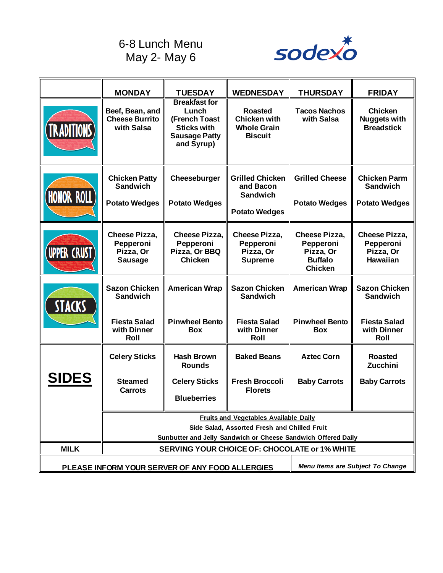## 6-8 Lunch Menu May 2- May 6



|                                                 | <b>MONDAY</b>                                                                                                                                                 | <b>TUESDAY</b>                                                                                             | <b>WEDNESDAY</b>                                                               | <b>THURSDAY</b>                                                             | <b>FRIDAY</b>                                                     |  |
|-------------------------------------------------|---------------------------------------------------------------------------------------------------------------------------------------------------------------|------------------------------------------------------------------------------------------------------------|--------------------------------------------------------------------------------|-----------------------------------------------------------------------------|-------------------------------------------------------------------|--|
| <b>TRADITIONS</b>                               | Beef, Bean, and<br><b>Cheese Burrito</b><br>with Salsa                                                                                                        | <b>Breakfast for</b><br>Lunch<br>(French Toast<br><b>Sticks with</b><br><b>Sausage Patty</b><br>and Syrup) | <b>Roasted</b><br><b>Chicken with</b><br><b>Whole Grain</b><br><b>Biscuit</b>  | <b>Tacos Nachos</b><br>with Salsa                                           | <b>Chicken</b><br><b>Nuggets with</b><br><b>Breadstick</b>        |  |
| <b>HONOR ROLL</b>                               | <b>Chicken Patty</b><br><b>Sandwich</b><br><b>Potato Wedges</b>                                                                                               | Cheeseburger<br><b>Potato Wedges</b>                                                                       | <b>Grilled Chicken</b><br>and Bacon<br><b>Sandwich</b><br><b>Potato Wedges</b> | <b>Grilled Cheese</b><br><b>Potato Wedges</b>                               | <b>Chicken Parm</b><br><b>Sandwich</b><br><b>Potato Wedges</b>    |  |
| <b>UPPER CRUST</b>                              | <b>Cheese Pizza,</b><br>Pepperoni<br>Pizza, Or<br><b>Sausage</b>                                                                                              | <b>Cheese Pizza,</b><br>Pepperoni<br>Pizza, Or BBQ<br><b>Chicken</b>                                       | <b>Cheese Pizza,</b><br>Pepperoni<br>Pizza, Or<br><b>Supreme</b>               | Cheese Pizza,<br>Pepperoni<br>Pizza, Or<br><b>Buffalo</b><br><b>Chicken</b> | <b>Cheese Pizza,</b><br>Pepperoni<br>Pizza, Or<br><b>Hawaiian</b> |  |
| <b>STACKS</b>                                   | <b>Sazon Chicken</b><br><b>Sandwich</b>                                                                                                                       | <b>American Wrap</b>                                                                                       | <b>Sazon Chicken</b><br><b>Sandwich</b>                                        | <b>American Wrap</b>                                                        | <b>Sazon Chicken</b><br><b>Sandwich</b>                           |  |
|                                                 | <b>Fiesta Salad</b><br>with Dinner<br>Roll                                                                                                                    | <b>Pinwheel Bento</b><br><b>Box</b>                                                                        | <b>Fiesta Salad</b><br>with Dinner<br>Roll                                     | <b>Pinwheel Bento</b><br><b>Box</b>                                         | <b>Fiesta Salad</b><br>with Dinner<br>Roll                        |  |
|                                                 | <b>Celery Sticks</b>                                                                                                                                          | <b>Hash Brown</b><br><b>Rounds</b>                                                                         | <b>Baked Beans</b>                                                             | <b>Aztec Corn</b>                                                           | <b>Roasted</b><br>Zucchini                                        |  |
| <b>SIDES</b>                                    | <b>Steamed</b><br><b>Carrots</b>                                                                                                                              | <b>Celery Sticks</b><br><b>Blueberries</b>                                                                 | <b>Fresh Broccoli</b><br><b>Florets</b>                                        | <b>Baby Carrots</b>                                                         | <b>Baby Carrots</b>                                               |  |
|                                                 | <b>Fruits and Vegetables Available Daily</b><br>Side Salad, Assorted Fresh and Chilled Fruit<br>Sunbutter and Jelly Sandwich or Cheese Sandwich Offered Daily |                                                                                                            |                                                                                |                                                                             |                                                                   |  |
| <b>MILK</b>                                     | <b>SERVING YOUR CHOICE OF: CHOCOLATE or 1% WHITE</b>                                                                                                          |                                                                                                            |                                                                                |                                                                             |                                                                   |  |
| PLEASE INFORM YOUR SERVER OF ANY FOOD ALLERGIES |                                                                                                                                                               |                                                                                                            |                                                                                | Menu Items are Subject To Change                                            |                                                                   |  |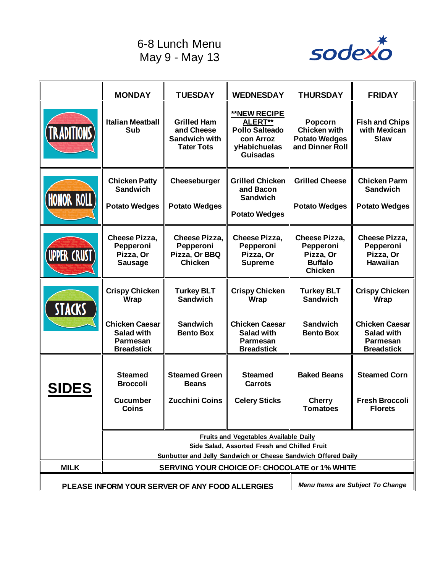## 6-8 Lunch Menu May 9 - May 13



|                                                                                     | <b>MONDAY</b>                                                                                | <b>TUESDAY</b>                                                                | <b>WEDNESDAY</b>                                                                                        | <b>THURSDAY</b>                                                                    | <b>FRIDAY</b>                                                                      |  |
|-------------------------------------------------------------------------------------|----------------------------------------------------------------------------------------------|-------------------------------------------------------------------------------|---------------------------------------------------------------------------------------------------------|------------------------------------------------------------------------------------|------------------------------------------------------------------------------------|--|
| <b>TRADITIONS</b>                                                                   | <b>Italian Meatball</b><br>Sub                                                               | <b>Grilled Ham</b><br>and Cheese<br><b>Sandwich with</b><br><b>Tater Tots</b> | <b>**NEW RECIPE</b><br>ALERT**<br><b>Pollo Salteado</b><br>con Arroz<br>yHabichuelas<br><b>Guisadas</b> | Popcorn<br><b>Chicken with</b><br><b>Potato Wedges</b><br>and Dinner Roll          | <b>Fish and Chips</b><br>with Mexican<br><b>Slaw</b>                               |  |
| <b>HONOR ROLL</b>                                                                   | <b>Chicken Patty</b><br><b>Sandwich</b><br><b>Potato Wedges</b>                              | Cheeseburger<br><b>Potato Wedges</b>                                          | <b>Grilled Chicken</b><br>and Bacon<br><b>Sandwich</b><br><b>Potato Wedges</b>                          | <b>Grilled Cheese</b><br><b>Potato Wedges</b>                                      | <b>Chicken Parm</b><br><b>Sandwich</b><br><b>Potato Wedges</b>                     |  |
| <b>UPPER CRUST</b>                                                                  | <b>Cheese Pizza,</b><br>Pepperoni<br>Pizza, Or<br><b>Sausage</b>                             | <b>Cheese Pizza,</b><br>Pepperoni<br>Pizza, Or BBQ<br><b>Chicken</b>          | <b>Cheese Pizza,</b><br>Pepperoni<br>Pizza, Or<br><b>Supreme</b>                                        | <b>Cheese Pizza,</b><br>Pepperoni<br>Pizza, Or<br><b>Buffalo</b><br><b>Chicken</b> | <b>Cheese Pizza,</b><br>Pepperoni<br>Pizza, Or<br><b>Hawaiian</b>                  |  |
| <b>STACKS</b>                                                                       | <b>Crispy Chicken</b><br>Wrap                                                                | <b>Turkey BLT</b><br><b>Sandwich</b>                                          | <b>Crispy Chicken</b><br>Wrap                                                                           | <b>Turkey BLT</b><br><b>Sandwich</b>                                               | <b>Crispy Chicken</b><br>Wrap                                                      |  |
|                                                                                     | <b>Chicken Caesar</b><br><b>Salad with</b><br><b>Parmesan</b><br><b>Breadstick</b>           | <b>Sandwich</b><br><b>Bento Box</b>                                           | <b>Chicken Caesar</b><br><b>Salad with</b><br><b>Parmesan</b><br><b>Breadstick</b>                      | <b>Sandwich</b><br><b>Bento Box</b>                                                | <b>Chicken Caesar</b><br><b>Salad with</b><br><b>Parmesan</b><br><b>Breadstick</b> |  |
| <b>SIDES</b>                                                                        | <b>Steamed</b><br><b>Broccoli</b><br><b>Cucumber</b><br><b>Coins</b>                         | <b>Steamed Green</b><br><b>Beans</b><br>Zucchini Coins                        | <b>Steamed</b><br><b>Carrots</b><br><b>Celery Sticks</b>                                                | <b>Baked Beans</b><br><b>Cherry</b><br><b>Tomatoes</b>                             | <b>Steamed Corn</b><br><b>Fresh Broccoli</b><br><b>Florets</b>                     |  |
|                                                                                     | <b>Fruits and Vegetables Available Daily</b><br>Side Salad, Assorted Fresh and Chilled Fruit |                                                                               |                                                                                                         |                                                                                    |                                                                                    |  |
|                                                                                     | Sunbutter and Jelly Sandwich or Cheese Sandwich Offered Daily                                |                                                                               |                                                                                                         |                                                                                    |                                                                                    |  |
| <b>MILK</b>                                                                         | SERVING YOUR CHOICE OF: CHOCOLATE or 1% WHITE                                                |                                                                               |                                                                                                         |                                                                                    |                                                                                    |  |
| Menu Items are Subject To Change<br>PLEASE INFORM YOUR SERVER OF ANY FOOD ALLERGIES |                                                                                              |                                                                               |                                                                                                         |                                                                                    |                                                                                    |  |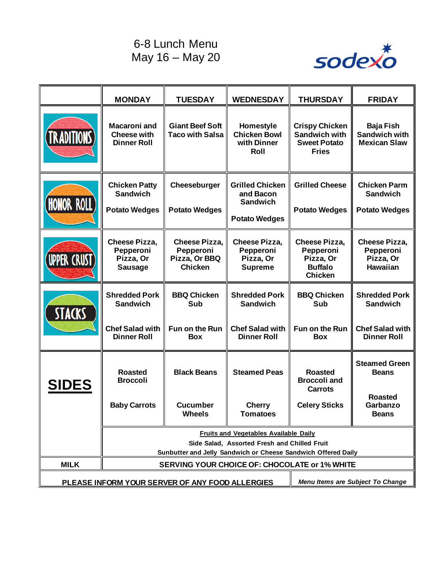## 6-8 Lunch Menu May 16 – May 20



|                                                                                     | <b>MONDAY</b>                                                                                | <b>TUESDAY</b>                                                       | <b>WEDNESDAY</b>                                                               | <b>THURSDAY</b>                                                                      | <b>FRIDAY</b>                                                     |
|-------------------------------------------------------------------------------------|----------------------------------------------------------------------------------------------|----------------------------------------------------------------------|--------------------------------------------------------------------------------|--------------------------------------------------------------------------------------|-------------------------------------------------------------------|
| <b>TRADITIONS)</b>                                                                  | <b>Macaroni and</b><br><b>Cheese with</b><br><b>Dinner Roll</b>                              | <b>Giant Beef Soft</b><br><b>Taco with Salsa</b>                     | Homestyle<br><b>Chicken Bowl</b><br>with Dinner<br>Roll                        | <b>Crispy Chicken</b><br><b>Sandwich with</b><br><b>Sweet Potato</b><br><b>Fries</b> | <b>Baja Fish</b><br><b>Sandwich with</b><br><b>Mexican Slaw</b>   |
| <b>HONOR ROLL</b>                                                                   | <b>Chicken Patty</b><br><b>Sandwich</b><br><b>Potato Wedges</b>                              | Cheeseburger<br><b>Potato Wedges</b>                                 | <b>Grilled Chicken</b><br>and Bacon<br><b>Sandwich</b><br><b>Potato Wedges</b> | <b>Grilled Cheese</b><br><b>Potato Wedges</b>                                        | <b>Chicken Parm</b><br><b>Sandwich</b><br><b>Potato Wedges</b>    |
| <b>UPPER CRUST</b>                                                                  | <b>Cheese Pizza,</b><br>Pepperoni<br>Pizza, Or<br><b>Sausage</b>                             | <b>Cheese Pizza,</b><br>Pepperoni<br>Pizza, Or BBQ<br><b>Chicken</b> | <b>Cheese Pizza,</b><br>Pepperoni<br>Pizza, Or<br><b>Supreme</b>               | <b>Cheese Pizza,</b><br>Pepperoni<br>Pizza, Or<br><b>Buffalo</b><br><b>Chicken</b>   | <b>Cheese Pizza,</b><br>Pepperoni<br>Pizza, Or<br><b>Hawaiian</b> |
| STACKS                                                                              | <b>Shredded Pork</b><br><b>Sandwich</b>                                                      | <b>BBQ Chicken</b><br>Sub                                            | <b>Shredded Pork</b><br><b>Sandwich</b>                                        | <b>BBQ Chicken</b><br>Sub                                                            | <b>Shredded Pork</b><br><b>Sandwich</b>                           |
|                                                                                     | <b>Chef Salad with</b><br><b>Dinner Roll</b>                                                 | Fun on the Run<br><b>Box</b>                                         | <b>Chef Salad with</b><br><b>Dinner Roll</b>                                   | Fun on the Run<br><b>Box</b>                                                         | <b>Chef Salad with</b><br><b>Dinner Roll</b>                      |
| <b>SIDES</b>                                                                        | <b>Roasted</b><br><b>Broccoli</b>                                                            | <b>Black Beans</b>                                                   | <b>Steamed Peas</b>                                                            | <b>Roasted</b><br><b>Broccoli and</b><br><b>Carrots</b>                              | <b>Steamed Green</b><br><b>Beans</b>                              |
|                                                                                     | <b>Baby Carrots</b>                                                                          | <b>Cucumber</b><br>Wheels                                            | <b>Cherry</b><br>Tomatoes                                                      | <b>Celery Sticks</b>                                                                 | <b>Roasted</b><br>Garbanzo<br><b>Beans</b>                        |
|                                                                                     | <b>Fruits and Vegetables Available Daily</b><br>Side Salad, Assorted Fresh and Chilled Fruit |                                                                      |                                                                                |                                                                                      |                                                                   |
|                                                                                     | Sunbutter and Jelly Sandwich or Cheese Sandwich Offered Daily                                |                                                                      |                                                                                |                                                                                      |                                                                   |
| <b>MILK</b><br>SERVING YOUR CHOICE OF: CHOCOLATE or 1% WHITE                        |                                                                                              |                                                                      |                                                                                |                                                                                      |                                                                   |
| Menu Items are Subject To Change<br>PLEASE INFORM YOUR SERVER OF ANY FOOD ALLERGIES |                                                                                              |                                                                      |                                                                                |                                                                                      |                                                                   |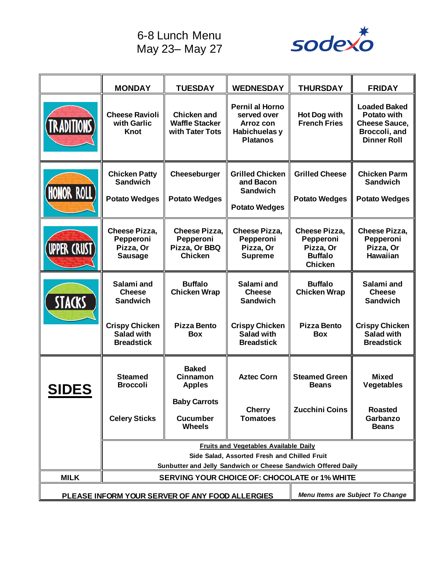6-8 Lunch Menu May 23– May 27



|                                                 | <b>MONDAY</b>                                                                                | <b>TUESDAY</b>                                                       | <b>WEDNESDAY</b>                                                                       | <b>THURSDAY</b>                                                                    | <b>FRIDAY</b>                                                                                            |
|-------------------------------------------------|----------------------------------------------------------------------------------------------|----------------------------------------------------------------------|----------------------------------------------------------------------------------------|------------------------------------------------------------------------------------|----------------------------------------------------------------------------------------------------------|
| <b>RADITIONS</b>                                | <b>Cheese Ravioli</b><br>with Garlic<br><b>Knot</b>                                          | <b>Chicken and</b><br><b>Waffle Stacker</b><br>with Tater Tots       | <b>Pernil al Horno</b><br>served over<br>Arroz con<br>Habichuelas y<br><b>Platanos</b> | <b>Hot Dog with</b><br><b>French Fries</b>                                         | <b>Loaded Baked</b><br><b>Potato with</b><br><b>Cheese Sauce,</b><br>Broccoli, and<br><b>Dinner Roll</b> |
| <b>HONOR ROLL</b>                               | <b>Chicken Patty</b><br><b>Sandwich</b><br><b>Potato Wedges</b>                              | Cheeseburger<br><b>Potato Wedges</b>                                 | <b>Grilled Chicken</b><br>and Bacon<br><b>Sandwich</b><br><b>Potato Wedges</b>         | <b>Grilled Cheese</b><br><b>Potato Wedges</b>                                      | <b>Chicken Parm</b><br><b>Sandwich</b><br><b>Potato Wedges</b>                                           |
| <b>UPPER CRUST</b>                              | <b>Cheese Pizza,</b><br>Pepperoni<br>Pizza, Or<br><b>Sausage</b>                             | <b>Cheese Pizza,</b><br>Pepperoni<br>Pizza, Or BBQ<br><b>Chicken</b> | <b>Cheese Pizza,</b><br>Pepperoni<br>Pizza, Or<br><b>Supreme</b>                       | <b>Cheese Pizza,</b><br>Pepperoni<br>Pizza, Or<br><b>Buffalo</b><br><b>Chicken</b> | <b>Cheese Pizza,</b><br>Pepperoni<br>Pizza, Or<br><b>Hawaiian</b>                                        |
| STACKS                                          | Salami and<br><b>Cheese</b><br><b>Sandwich</b>                                               | <b>Buffalo</b><br><b>Chicken Wrap</b>                                | Salami and<br><b>Cheese</b><br><b>Sandwich</b>                                         | <b>Buffalo</b><br><b>Chicken Wrap</b>                                              | Salami and<br><b>Cheese</b><br><b>Sandwich</b>                                                           |
|                                                 | <b>Crispy Chicken</b><br><b>Salad with</b><br><b>Breadstick</b>                              | <b>Pizza Bento</b><br><b>Box</b>                                     | <b>Crispy Chicken</b><br>Salad with<br><b>Breadstick</b>                               | <b>Pizza Bento</b><br><b>Box</b>                                                   | <b>Crispy Chicken</b><br>Salad with<br><b>Breadstick</b>                                                 |
| <b>SIDES</b>                                    | <b>Steamed</b><br><b>Broccoli</b>                                                            | <b>Baked</b><br><b>Cinnamon</b><br><b>Apples</b>                     | <b>Aztec Corn</b>                                                                      | <b>Steamed Green</b><br><b>Beans</b>                                               | <b>Mixed</b><br>Vegetables                                                                               |
|                                                 | <b>Celery Sticks</b>                                                                         | <b>Baby Carrots</b><br><b>Cucumber</b><br><b>Wheels</b>              | <b>Cherry</b><br><b>Tomatoes</b>                                                       | <b>Zucchini Coins</b>                                                              | <b>Roasted</b><br>Garbanzo<br><b>Beans</b>                                                               |
|                                                 | <b>Fruits and Vegetables Available Daily</b><br>Side Salad, Assorted Fresh and Chilled Fruit |                                                                      |                                                                                        |                                                                                    |                                                                                                          |
|                                                 | Sunbutter and Jelly Sandwich or Cheese Sandwich Offered Daily                                |                                                                      |                                                                                        |                                                                                    |                                                                                                          |
| <b>MILK</b>                                     | SERVING YOUR CHOICE OF: CHOCOLATE or 1% WHITE                                                |                                                                      |                                                                                        |                                                                                    |                                                                                                          |
| PLEASE INFORM YOUR SERVER OF ANY FOOD ALLERGIES |                                                                                              |                                                                      | Menu Items are Subject To Change                                                       |                                                                                    |                                                                                                          |